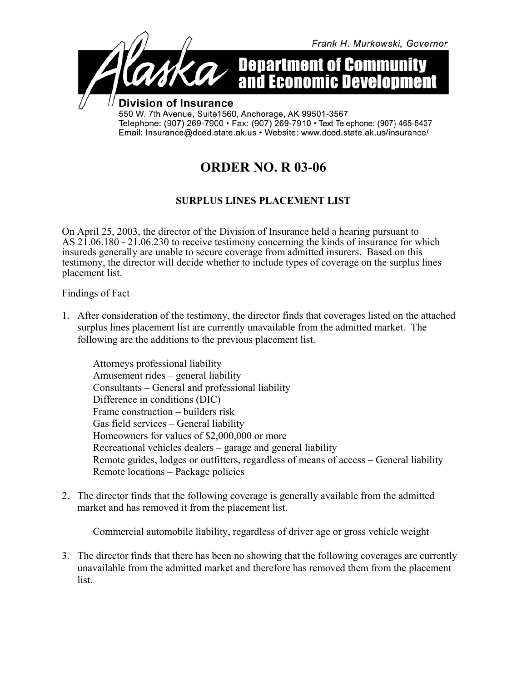

## **ORDER NO. R 03-06**

## **SURPLUS LINES PLACEMENT LIST**

On April 25, 2003, the director of the Division of Insurance held a hearing pursuant to AS 21.06.180 - 21.06.230 to receive testimony concerning the kinds of insurance for which insureds generally are unable to secure coverage from admitted insurers. Based on this testimony, the director will decide whether to include types of coverage on the surplus lines placement list.

## Findings of Fact

1. After consideration of the testimony, the director finds that coverages listed on the attached surplus lines placement list are currently unavailable from the admitted market. The following are the additions to the previous placement list.

Attorneys professional liability Amusement rides – general liability Consultants – General and professional liability Difference in conditions (DIC) Frame construction – builders risk Gas field services – General liability Homeowners for values of \$2,000,000 or more Recreational vehicles dealers – garage and general liability Remote guides, lodges or outfitters, regardless of means of access – General liability Remote locations – Package policies

2. The director finds that the following coverage is generally available from the admitted market and has removed it from the placement list.

Commercial automobile liability, regardless of driver age or gross vehicle weight

3. The director finds that there has been no showing that the following coverages are currently unavailable from the admitted market and therefore has removed them from the placement list.